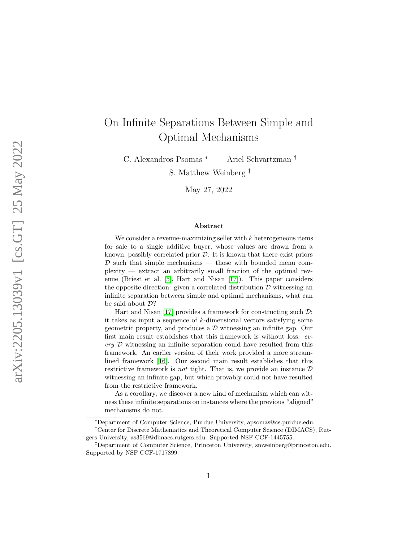# On Infinite Separations Between Simple and Optimal Mechanisms

C. Alexandros Psomas <sup>∗</sup> Ariel Schvartzman †

S. Matthew Weinberg ‡

May 27, 2022

#### Abstract

We consider a revenue-maximizing seller with  $k$  heterogeneous items for sale to a single additive buyer, whose values are drawn from a known, possibly correlated prior  $D$ . It is known that there exist priors  $\mathcal D$  such that simple mechanisms — those with bounded menu complexity — extract an arbitrarily small fraction of the optimal revenue (Briest et al. [\[5\]](#page-20-0), Hart and Nisan [\[17\]](#page-21-0)). This paper considers the opposite direction: given a correlated distribution  $\mathcal D$  witnessing an infinite separation between simple and optimal mechanisms, what can be said about D?

Hart and Nisan [\[17\]](#page-21-0) provides a framework for constructing such D: it takes as input a sequence of  $k$ -dimensional vectors satisfying some geometric property, and produces a  $\mathcal D$  witnessing an infinite gap. Our first main result establishes that this framework is without loss: every D witnessing an infinite separation could have resulted from this framework. An earlier version of their work provided a more streamlined framework [\[16\]](#page-21-1). Our second main result establishes that this restrictive framework is *not* tight. That is, we provide an instance  $D$ witnessing an infinite gap, but which provably could not have resulted from the restrictive framework.

As a corollary, we discover a new kind of mechanism which can witness these infinite separations on instances where the previous "aligned" mechanisms do not.

<sup>∗</sup>Department of Computer Science, Purdue University, apsomas@cs.purdue.edu.

<sup>†</sup>Center for Discrete Mathematics and Theoretical Computer Science (DIMACS), Rutgers University, as3569@dimacs.rutgers.edu. Supported NSF CCF-1445755.

<sup>‡</sup>Department of Computer Science, Princeton University, smweinberg@princeton.edu. Supported by NSF CCF-1717899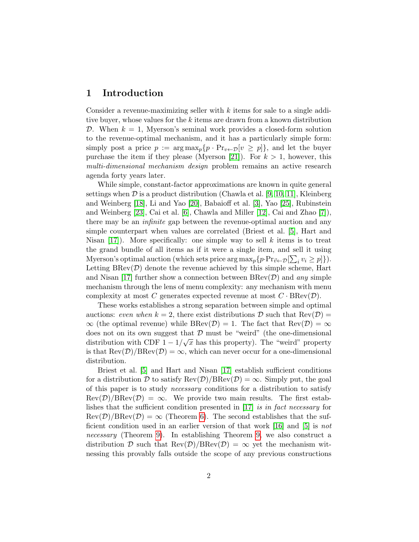## 1 Introduction

Consider a revenue-maximizing seller with  $k$  items for sale to a single additive buyer, whose values for the  $k$  items are drawn from a known distribution D. When  $k = 1$ , Myerson's seminal work provides a closed-form solution to the revenue-optimal mechanism, and it has a particularly simple form: simply post a price  $p := \arg \max_p \{p \cdot Pr_{v \leftarrow D}[v \geq p]\}$ , and let the buyer purchase the item if they please (Myerson [\[21\]](#page-21-2)). For  $k > 1$ , however, this multi-dimensional mechanism design problem remains an active research agenda forty years later.

While simple, constant-factor approximations are known in quite general settings when  $D$  is a product distribution (Chawla et al. [\[9,](#page-20-1) [10,](#page-20-2) [11\]](#page-20-3), Kleinberg and Weinberg [\[18\]](#page-21-3), Li and Yao [\[20\]](#page-21-4), Babaioff et al. [\[3\]](#page-19-0), Yao [\[25\]](#page-22-0), Rubinstein and Weinberg [\[23\]](#page-22-1), Cai et al. [\[6\]](#page-20-4), Chawla and Miller [\[12\]](#page-20-5), Cai and Zhao [\[7\]](#page-20-6)), there may be an infinite gap between the revenue-optimal auction and any simple counterpart when values are correlated (Briest et al. [\[5\]](#page-20-0), Hart and Nisan  $[17]$ . More specifically: one simple way to sell k items is to treat the grand bundle of all items as if it were a single item, and sell it using Myerson's optimal auction (which sets price  $\arg \max_p \{ p \cdot Pr_{\vec{v} \leftarrow \mathcal{D}}[\sum_i v_i \ge p] \}$ ). Letting  $\text{BRev}(\mathcal{D})$  denote the revenue achieved by this simple scheme, Hart and Nisan [\[17\]](#page-21-0) further show a connection between  $BRev(D)$  and any simple mechanism through the lens of menu complexity: any mechanism with menu complexity at most C generates expected revenue at most  $C \cdot \text{BRev}(\mathcal{D})$ .

These works establishes a strong separation between simple and optimal auctions: even when  $k = 2$ , there exist distributions D such that  $\text{Rev}(\mathcal{D}) =$  $\infty$  (the optimal revenue) while BRev(D) = 1. The fact that Rev(D) =  $\infty$ does not on its own suggest that  $\mathcal{D}$  must be "weird" (the one-dimensional<br>Notational of  $\overline{\mathcal{D}}$  and  $\overline{\mathcal{D}}$  and  $\overline{\mathcal{D}}$  and  $\overline{\mathcal{D}}$  and  $\overline{\mathcal{D}}$  and  $\overline{\mathcal{D}}$  and  $\overline{\mathcal{D}}$  and  $\overline{\mathcal{D}}$  and distribution with CDF  $1 - 1/\sqrt{x}$  has this property). The "weird" property is that  $\text{Rev}(\mathcal{D})/\text{BRev}(\mathcal{D}) = \infty$ , which can never occur for a one-dimensional distribution.

Briest et al. [\[5\]](#page-20-0) and Hart and Nisan [\[17\]](#page-21-0) establish sufficient conditions for a distribution D to satisfy  $\text{Rev}(\mathcal{D})/\text{BRev}(\mathcal{D}) = \infty$ . Simply put, the goal of this paper is to study necessary conditions for a distribution to satisfy  $\text{Rev}(\mathcal{D})/\text{BRev}(\mathcal{D}) = \infty$ . We provide two main results. The first establishes that the sufficient condition presented in  $[17]$  is in fact necessary for  $\text{Rev}(\mathcal{D})/\text{BRev}(\mathcal{D}) = \infty$  (Theorem [6\)](#page-4-0). The second establishes that the sufficient condition used in an earlier version of that work [\[16\]](#page-21-1) and [\[5\]](#page-20-0) is not necessary (Theorem [9\)](#page-6-0). In establishing Theorem [9,](#page-6-0) we also construct a distribution D such that  $\text{Rev}(\mathcal{D})/\text{BRev}(\mathcal{D}) = \infty$  yet the mechanism witnessing this provably falls outside the scope of any previous constructions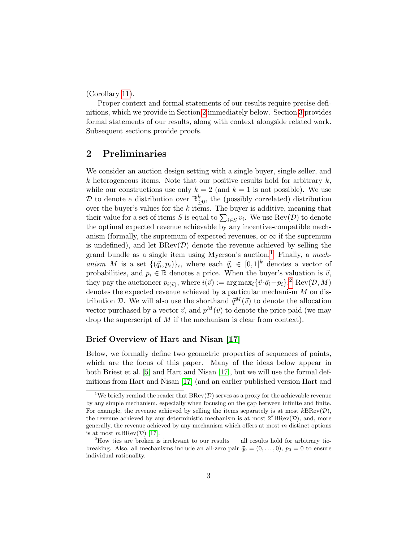(Corollary [11\)](#page-6-1).

Proper context and formal statements of our results require precise definitions, which we provide in Section [2](#page-2-0) immediately below. Section [3](#page-4-1) provides formal statements of our results, along with context alongside related work. Subsequent sections provide proofs.

## <span id="page-2-0"></span>2 Preliminaries

We consider an auction design setting with a single buyer, single seller, and k heterogeneous items. Note that our positive results hold for arbitrary  $k$ , while our constructions use only  $k = 2$  (and  $k = 1$  is not possible). We use D to denote a distribution over  $\mathbb{R}^k_{\geq 0}$ , the (possibly correlated) distribution over the buyer's values for the  $k$  items. The buyer is additive, meaning that their value for a set of items S is equal to  $\sum_{i \in S} v_i$ . We use  $\text{Rev}(\mathcal{D})$  to denote the optimal expected revenue achievable by any incentive-compatible mechanism (formally, the supremum of expected revenues, or  $\infty$  if the supremum is undefined), and let  $\text{BRev}(\mathcal{D})$  denote the revenue achieved by selling the grand bundle as a single item using Myerson's auction.<sup>[1](#page-2-1)</sup> Finally, a mechanism M is a set  $\{(\vec{q}_i, p_i)\}_i$ , where each  $\vec{q}_i \in [0,1]^k$  denotes a vector of probabilities, and  $p_i \in \mathbb{R}$  denotes a price. When the buyer's valuation is  $\vec{v}$ , they pay the auctioneer  $p_{i(\vec{v})}$ , where  $i(\vec{v}) := \arg \max_i \{ \vec{v} \cdot \vec{q}_i - p_i \}$ .<sup>[2](#page-2-2)</sup> Rev $(\mathcal{D}, M)$ denotes the expected revenue achieved by a particular mechanism  $M$  on distribution D. We will also use the shorthand  $\vec{q}^M(\vec{v})$  to denote the allocation vector purchased by a vector  $\vec{v}$ , and  $p^M(\vec{v})$  to denote the price paid (we may drop the superscript of  $M$  if the mechanism is clear from context).

### Brief Overview of Hart and Nisan [\[17\]](#page-21-0)

Below, we formally define two geometric properties of sequences of points, which are the focus of this paper. Many of the ideas below appear in both Briest et al. [\[5\]](#page-20-0) and Hart and Nisan [\[17\]](#page-21-0), but we will use the formal definitions from Hart and Nisan [\[17\]](#page-21-0) (and an earlier published version Hart and

<span id="page-2-1"></span><sup>&</sup>lt;sup>1</sup>We briefly remind the reader that  $BRev(\mathcal{D})$  serves as a proxy for the achievable revenue by any simple mechanism, especially when focusing on the gap between infinite and finite. For example, the revenue achieved by selling the items separately is at most  $k\text{BRev}(\mathcal{D})$ , the revenue achieved by any deterministic mechanism is at most  $2^k\text{BRev}(\mathcal{D})$ , and, more generally, the revenue achieved by any mechanism which offers at most  $m$  distinct options is at most  $m\text{BRev}(\mathcal{D})$  [\[17\]](#page-21-0).

<span id="page-2-2"></span> $^{2}$ How ties are broken is irrelevant to our results — all results hold for arbitrary tiebreaking. Also, all mechanisms include an all-zero pair  $\vec{q}_0 = (0, \ldots, 0), p_0 = 0$  to ensure individual rationality.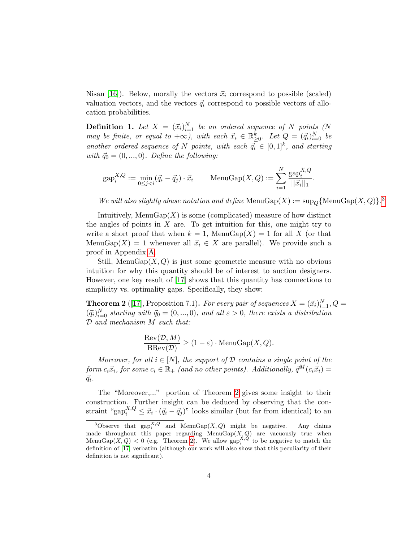Nisan [\[16\]](#page-21-1)). Below, morally the vectors  $\vec{x}_i$  correspond to possible (scaled) valuation vectors, and the vectors  $\vec{q}_i$  correspond to possible vectors of allocation probabilities.

**Definition 1.** Let  $X = (\vec{x}_i)_{i=1}^N$  be an ordered sequence of N points (N may be finite, or equal to  $+\infty$ ), with each  $\vec{x}_i \in \mathbb{R}_{\geq 0}^k$ . Let  $Q = (\vec{q}_i)_{i=0}^N$  be another ordered sequence of N points, with each  $\vec{q}_i \in [0,1]^k$ , and starting with  $\vec{q}_0 = (0, ..., 0)$ . Define the following:

$$
gap_i^{X,Q} := \min_{0 \le j < i} (\vec{q}_i - \vec{q}_j) \cdot \vec{x}_i \qquad \text{MenuGap}(X,Q) := \sum_{i=1}^N \frac{\text{gap}_i^{X,Q}}{||\vec{x}_i||_1}.
$$

We will also slightly abuse notation and define  $\text{MenuGap}(X) := \text{sup}_Q \{ \text{MenuGap}(X, Q) \}$ .

Intuitively, MenuGap $(X)$  is some (complicated) measure of how distinct the angles of points in  $X$  are. To get intuition for this, one might try to write a short proof that when  $k = 1$ , MenuGap $(X) = 1$  for all X (or that MenuGap $(X) = 1$  whenever all  $\vec{x}_i \in X$  are parallel). We provide such a proof in Appendix [A.](#page-23-0)

Still, MenuGap $(X, Q)$  is just some geometric measure with no obvious intuition for why this quantity should be of interest to auction designers. However, one key result of [\[17\]](#page-21-0) shows that this quantity has connections to simplicity vs. optimality gaps. Specifically, they show:

<span id="page-3-1"></span>**Theorem 2** ([\[17\]](#page-21-0), Proposition 7.1). For every pair of sequences  $X = (\vec{x}_i)_{i=1}^N$ ,  $Q =$  $(\vec{q}_i)_{i=0}^N$  starting with  $\vec{q}_0 = (0, ..., 0)$ , and all  $\varepsilon > 0$ , there exists a distribution D and mechanism M such that:

$$
\frac{\text{Rev}(\mathcal{D}, M)}{\text{BRev}(\mathcal{D})} \ge (1 - \varepsilon) \cdot \text{MenuGap}(X, Q).
$$

Moreover, for all  $i \in [N]$ , the support of  $D$  contains a single point of the form  $c_i\vec{x}_i$ , for some  $c_i \in \mathbb{R}_+$  (and no other points). Additionally,  $\vec{q}^M(c_i\vec{x}_i)$  $\vec{q}_i$ .

The "Moreover,..." portion of Theorem [2](#page-3-1) gives some insight to their construction. Further insight can be deduced by observing that the constraint "gap $_i^{X,Q} \leq \vec{x}_i \cdot (\vec{q}_i - \vec{q}_j)$ " looks similar (but far from identical) to an

<span id="page-3-0"></span><sup>&</sup>lt;sup>3</sup>Observe that  $\text{gap}_{i}^{X,Q}$  and MenuGap $(X,Q)$  might be negative. Any claims made throughout this paper regarding MenuGap $(X, Q)$  are vacuously true when Menu $\text{Gap}(X, Q) < 0$  (e.g. Theorem [2\)](#page-3-1). We allow  $\text{gap}_i^{X,Q}$  to be negative to match the definition of [\[17\]](#page-21-0) verbatim (although our work will also show that this peculiarity of their definition is not significant).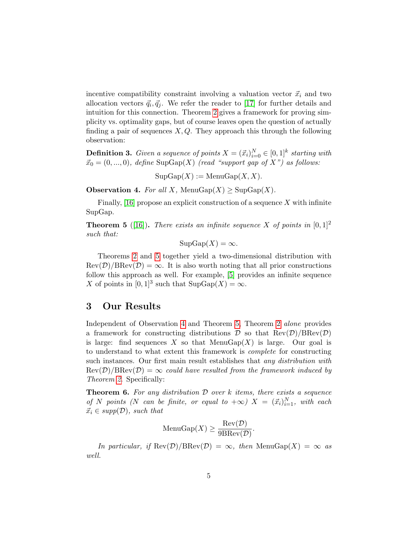incentive compatibility constraint involving a valuation vector  $\vec{x}_i$  and two allocation vectors  $\vec{q}_i, \vec{q}_j$ . We refer the reader to [\[17\]](#page-21-0) for further details and intuition for this connection. Theorem [2](#page-3-1) gives a framework for proving simplicity vs. optimality gaps, but of course leaves open the question of actually finding a pair of sequences  $X, Q$ . They approach this through the following observation:

**Definition 3.** Given a sequence of points  $X = (\vec{x}_i)_{i=0}^N \in [0,1]^k$  starting with  $\vec{x}_0 = (0, ..., 0)$ , define SupGap(X) (read "support gap of X") as follows:

 $\mathrm{SupGap}(X) := \mathrm{MenuGap}(X, X).$ 

<span id="page-4-3"></span>**Observation 4.** For all X, MenuGap $(X) \geq \text{SupGap}(X)$ .

Finally,  $[16]$  propose an explicit construction of a sequence X with infinite SupGap.

<span id="page-4-2"></span>**Theorem 5** ([\[16\]](#page-21-1)). There exists an infinite sequence X of points in  $[0, 1]^2$ such that:

$$
SupGap(X) = \infty.
$$

Theorems [2](#page-3-1) and [5](#page-4-2) together yield a two-dimensional distribution with  $\text{Rev}(\mathcal{D})/\text{BRev}(\mathcal{D}) = \infty$ . It is also worth noting that all prior constructions follow this approach as well. For example, [\[5\]](#page-20-0) provides an infinite sequence X of points in  $[0,1]^3$  such that  $\text{SupGap}(X) = \infty$ .

## <span id="page-4-1"></span>3 Our Results

Independent of Observation [4](#page-4-3) and Theorem [5,](#page-4-2) Theorem [2](#page-3-1) alone provides a framework for constructing distributions  $\mathcal D$  so that  $\text{Rev}(\mathcal D)/\text{BRev}(\mathcal D)$ is large: find sequences X so that  $MenuGap(X)$  is large. Our goal is to understand to what extent this framework is complete for constructing such instances. Our first main result establishes that any distribution with  $\text{Rev}(\mathcal{D})/\text{BRev}(\mathcal{D}) = \infty$  could have resulted from the framework induced by Theorem [2](#page-3-1). Specifically:

<span id="page-4-0"></span>**Theorem 6.** For any distribution  $D$  over k items, there exists a sequence of N points (N can be finite, or equal to  $+\infty$ )  $X = (\vec{x}_i)_{i=1}^N$ , with each  $\vec{x}_i \in supp(\mathcal{D})$ , such that

$$
\text{MenuGap}(X) \ge \frac{\text{Rev}(\mathcal{D})}{9\text{BRev}(\mathcal{D})}.
$$

In particular, if  $\text{Rev}(\mathcal{D})/\text{BRev}(\mathcal{D}) = \infty$ , then  $\text{MenuGap}(X) = \infty$  as well.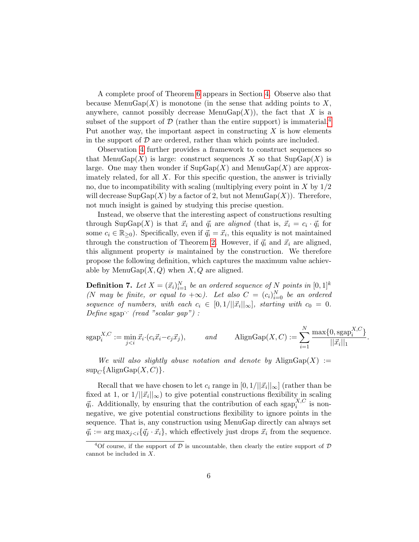A complete proof of Theorem [6](#page-4-0) appears in Section [4.](#page-7-0) Observe also that because MenuGap $(X)$  is monotone (in the sense that adding points to X, anywhere, cannot possibly decrease MenuGap $(X)$ ), the fact that X is a subset of the support of  $D$  (rather than the entire support) is immaterial.<sup>[4](#page-5-0)</sup> Put another way, the important aspect in constructing  $X$  is how elements in the support of  $\mathcal D$  are ordered, rather than which points are included.

Observation [4](#page-4-3) further provides a framework to construct sequences so that MenuGap $(X)$  is large: construct sequences X so that  $\text{SupGap}(X)$  is large. One may then wonder if  $\text{SupGap}(X)$  and  $\text{MenuGap}(X)$  are approximately related, for all X. For this specific question, the answer is trivially no, due to incompatibility with scaling (multiplying every point in  $X$  by  $1/2$ will decrease  $\text{SupGap}(X)$  by a factor of 2, but not  $\text{MenuGap}(X)$ ). Therefore, not much insight is gained by studying this precise question.

Instead, we observe that the interesting aspect of constructions resulting through SupGap(X) is that  $\vec{x}_i$  and  $\vec{q}_i$  are aligned (that is,  $\vec{x}_i = c_i \cdot \vec{q}_i$  for some  $c_i \in \mathbb{R}_{\geq 0}$ . Specifically, even if  $\vec{q}_i = \vec{x}_i$ , this equality is not maintained through the construction of Theorem [2.](#page-3-1) However, if  $\vec{q}_i$  and  $\vec{x}_i$  are aligned, this alignment property is maintained by the construction. We therefore propose the following definition, which captures the maximum value achievable by MenuGap $(X, Q)$  when  $X, Q$  are aligned.

<span id="page-5-1"></span>**Definition 7.** Let  $X = (\vec{x}_i)_{i=1}^N$  be an ordered sequence of N points in  $[0,1]^k$ (N may be finite, or equal to  $+\infty$ ). Let also  $C = (c_i)_{i=0}^N$  be an ordered sequence of numbers, with each  $c_i \in [0,1/||\vec{x}_i||_{\infty}]$ , starting with  $c_0 = 0$ . Define sgap<sup> $\cdot$ </sup> (read "scalar gap") :

$$
sgap_i^{X,C} := \min_{j < i} \vec{x}_i \cdot (c_i \vec{x}_i - c_j \vec{x}_j), \qquad \text{and} \qquad \text{AlignGap}(X, C) := \sum_{i=1}^N \frac{\max\{0, \text{sgap}_i^{X,C}\}}{||\vec{x}_i||_1}
$$

.

We will also slightly abuse notation and denote by  $\text{A lignGap}(X) :=$  $\sup_{C} {\rm{AlignGap}}(X, C)$ .

Recall that we have chosen to let  $c_i$  range in  $[0,1/||\vec{x}_i||_{\infty}]$  (rather than be fixed at 1, or  $1/||\vec{x_i}||_{\infty}$ ) to give potential constructions flexibility in scaling  $\vec{q}_i$ . Additionally, by ensuring that the contribution of each sgap $_i^{X,C}$  is nonnegative, we give potential constructions flexibility to ignore points in the sequence. That is, any construction using MenuGap directly can always set  $\vec{q}_i := \arg \max_{j \leq i} {\{\vec{q}_j \cdot \vec{x}_i\}}$ , which effectively just drops  $\vec{x}_i$  from the sequence.

<span id="page-5-0"></span><sup>&</sup>lt;sup>4</sup>Of course, if the support of  $D$  is uncountable, then clearly the entire support of  $D$ cannot be included in X.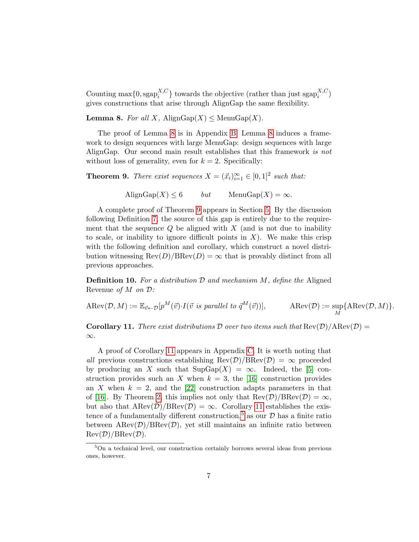Counting max $\{0, \text{sgap}_i^{X,C}\}$  ${}_{i}^{X,C}$ } towards the objective (rather than just  $\text{sgap}_{i}^{X,C}$ ) gives constructions that arise through AlignGap the same flexibility.

<span id="page-6-2"></span>**Lemma 8.** For all X, AlignGap(X)  $\leq$  MenuGap(X).

The proof of Lemma [8](#page-6-2) is in Appendix [B.](#page-23-1) Lemma [8](#page-6-2) induces a framework to design sequences with large MenuGap: design sequences with large AlignGap. Our second main result establishes that this framework is not without loss of generality, even for  $k = 2$ . Specifically:

<span id="page-6-0"></span>**Theorem 9.** There exist sequences  $X = (\vec{x}_i)_{i=1}^{\infty} \in [0,1]^2$  such that:

AlignGap(X) < 6 but MenuGap(X) =  $\infty$ .

A complete proof of Theorem [9](#page-6-0) appears in Section [5.](#page-11-0) By the discussion following Definition [7,](#page-5-1) the source of this gap is entirely due to the requirement that the sequence  $Q$  be aligned with  $X$  (and is not due to inability to scale, or inability to ignore difficult points in  $X$ ). We make this crisp with the following definition and corollary, which construct a novel distribution witnessing  $\text{Rev}(D)/\text{BRev}(D) = \infty$  that is provably distinct from all previous approaches.

**Definition 10.** For a distribution  $D$  and mechanism  $M$ , define the Aligned Revenue of  $M$  on  $\mathcal{D}$ :

 $\text{ARev}(\mathcal{D}, M) := \mathbb{E}_{\vec{v} \leftarrow \mathcal{D}}[p^M(\vec{v}) \cdot I(\vec{v} \text{ is parallel to } \vec{q}^M(\vec{v}))], \qquad \text{ARev}(\mathcal{D}) := \text{sup}$ M  ${ \text{ARev}(\mathcal{D}, M) }$ .

<span id="page-6-1"></span>**Corollary 11.** There exist distributions D over two items such that  $\text{Rev}(\mathcal{D})/\text{ARev}(\mathcal{D}) =$ ∞.

A proof of Corollary [11](#page-6-1) appears in Appendix [C.](#page-24-0) It is worth noting that all previous constructions establishing  $\text{Rev}(\mathcal{D})/\text{BRev}(\mathcal{D}) = \infty$  proceeded by producing an X such that  $\text{SupGap}(X) = \infty$ . Indeed, the [\[5\]](#page-20-0) construction provides such an X when  $k = 3$ , the [\[16\]](#page-21-1) construction provides an X when  $k = 2$ , and the [\[22\]](#page-22-2) construction adapts parameters in that of [\[16\]](#page-21-1). By Theorem [2,](#page-3-1) this implies not only that  $\text{Rev}(\mathcal{D})/\text{BRev}(\mathcal{D}) = \infty$ , but also that  $\text{ARev}(\mathcal{D})/\text{BRev}(\mathcal{D}) = \infty$ . Corollary [11](#page-6-1) establishes the exis-tence of a fundamentally different construction,<sup>[5](#page-6-3)</sup> as our  $D$  has a finite ratio between  $\text{ARev}(\mathcal{D})/\text{BRev}(\mathcal{D})$ , yet still maintains an infinite ratio between  $\text{Rev}(\mathcal{D})/\text{BRev}(\mathcal{D}).$ 

<span id="page-6-3"></span><sup>5</sup>On a technical level, our construction certainly borrows several ideas from previous ones, however.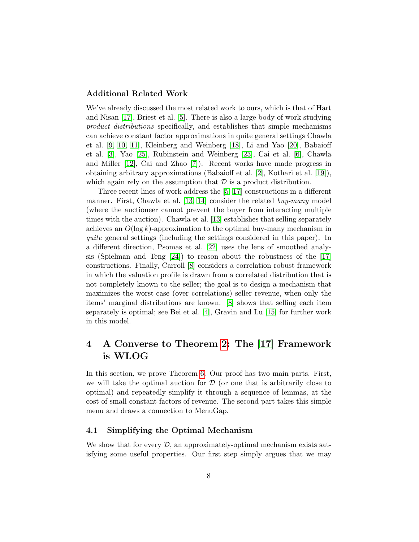#### Additional Related Work

We've already discussed the most related work to ours, which is that of Hart and Nisan [\[17\]](#page-21-0), Briest et al. [\[5\]](#page-20-0). There is also a large body of work studying product distributions specifically, and establishes that simple mechanisms can achieve constant factor approximations in quite general settings Chawla et al. [\[9,](#page-20-1) [10,](#page-20-2) [11\]](#page-20-3), Kleinberg and Weinberg [\[18\]](#page-21-3), Li and Yao [\[20\]](#page-21-4), Babaioff et al. [\[3\]](#page-19-0), Yao [\[25\]](#page-22-0), Rubinstein and Weinberg [\[23\]](#page-22-1), Cai et al. [\[6\]](#page-20-4), Chawla and Miller [\[12\]](#page-20-5), Cai and Zhao [\[7\]](#page-20-6)). Recent works have made progress in obtaining arbitrary approximations (Babaioff et al. [\[2\]](#page-19-1), Kothari et al. [\[19\]](#page-21-5)), which again rely on the assumption that  $\mathcal D$  is a product distribution.

Three recent lines of work address the [\[5,](#page-20-0) [17\]](#page-21-0) constructions in a different manner. First, Chawla et al. [\[13,](#page-20-7) [14\]](#page-21-6) consider the related *buy-many* model (where the auctioneer cannot prevent the buyer from interacting multiple times with the auction). Chawla et al. [\[13\]](#page-20-7) establishes that selling separately achieves an  $O(\log k)$ -approximation to the optimal buy-many mechanism in quite general settings (including the settings considered in this paper). In a different direction, Psomas et al. [\[22\]](#page-22-2) uses the lens of smoothed analysis (Spielman and Teng  $[24]$ ) to reason about the robustness of the  $[17]$ constructions. Finally, Carroll [\[8\]](#page-20-8) considers a correlation robust framework in which the valuation profile is drawn from a correlated distribution that is not completely known to the seller; the goal is to design a mechanism that maximizes the worst-case (over correlations) seller revenue, when only the items' marginal distributions are known. [\[8\]](#page-20-8) shows that selling each item separately is optimal; see Bei et al. [\[4\]](#page-20-9), Gravin and Lu [\[15\]](#page-21-7) for further work in this model.

## <span id="page-7-0"></span>4 A Converse to Theorem [2:](#page-3-1) The [\[17\]](#page-21-0) Framework is WLOG

In this section, we prove Theorem [6.](#page-4-0) Our proof has two main parts. First, we will take the optimal auction for  $\mathcal D$  (or one that is arbitrarily close to optimal) and repeatedly simplify it through a sequence of lemmas, at the cost of small constant-factors of revenue. The second part takes this simple menu and draws a connection to MenuGap.

#### 4.1 Simplifying the Optimal Mechanism

We show that for every  $\mathcal{D}$ , an approximately-optimal mechanism exists satisfying some useful properties. Our first step simply argues that we may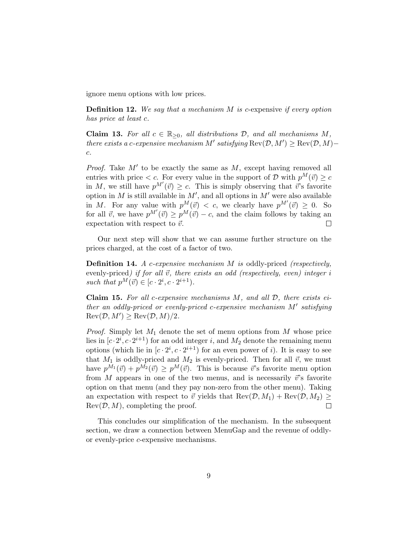ignore menu options with low prices.

**Definition 12.** We say that a mechanism  $M$  is c-expensive if every option has price at least c.

<span id="page-8-0"></span>Claim 13. For all  $c \in \mathbb{R}_{\geq 0}$ , all distributions  $D$ , and all mechanisms M, there exists a c-expensive mechanism M' satisfying  $\text{Rev}(\mathcal{D}, M') \ge \text{Rev}(\mathcal{D}, M)$ c.

*Proof.* Take  $M'$  to be exactly the same as  $M$ , except having removed all entries with price  $\lt c$ . For every value in the support of  $\mathcal D$  with  $p^M(\vec{v}) \geq c$ in M, we still have  $p^{M'}(\vec{v}) \geq c$ . This is simply observing that  $\vec{v}$ 's favorite option in M is still available in  $M'$ , and all options in  $M'$  were also available in M. For any value with  $p^M(\vec{v}) < c$ , we clearly have  $p^{M'}(\vec{v}) \geq 0$ . So for all  $\vec{v}$ , we have  $p^{M'}(\vec{v}) \geq p^{M}(\vec{v}) - c$ , and the claim follows by taking an expectation with respect to  $\vec{v}$ .  $\Box$ 

Our next step will show that we can assume further structure on the prices charged, at the cost of a factor of two.

**Definition 14.** A c-expensive mechanism  $M$  is oddly-priced (respectively, evenly-priced) if for all  $\vec{v}$ , there exists an odd (respectively, even) integer i such that  $p^M(\vec{v}) \in [c \cdot 2^i, c \cdot 2^{i+1}).$ 

<span id="page-8-1"></span>**Claim 15.** For all c-expensive mechanisms  $M$ , and all  $D$ , there exists either an oddly-priced or evenly-priced c-expensive mechanism  $M'$  satisfying  $\text{Rev}(\mathcal{D}, M') \geq \text{Rev}(\mathcal{D}, M)/2.$ 

*Proof.* Simply let  $M_1$  denote the set of menu options from  $M$  whose price lies in  $[c \cdot 2^i, c \cdot 2^{i+1})$  for an odd integer i, and  $M_2$  denote the remaining menu options (which lie in  $[c \cdot 2^i, c \cdot 2^{i+1})$  for an even power of i). It is easy to see that  $M_1$  is oddly-priced and  $M_2$  is evenly-priced. Then for all  $\vec{v}$ , we must have  $p^{M_1}(\vec{v}) + p^{M_2}(\vec{v}) \geq p^{M}(\vec{v})$ . This is because  $\vec{v}$ 's favorite menu option from M appears in one of the two menus, and is necessarily  $\vec{v}$ 's favorite option on that menu (and they pay non-zero from the other menu). Taking an expectation with respect to  $\vec{v}$  yields that  $\text{Rev}(\mathcal{D}, M_1) + \text{Rev}(\mathcal{D}, M_2) \geq$  $\text{Rev}(\mathcal{D}, M)$ , completing the proof.  $\Box$ 

This concludes our simplification of the mechanism. In the subsequent section, we draw a connection between MenuGap and the revenue of oddlyor evenly-price c-expensive mechanisms.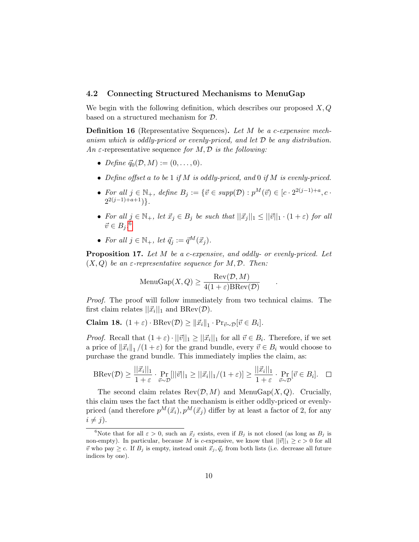#### 4.2 Connecting Structured Mechanisms to MenuGap

We begin with the following definition, which describes our proposed  $X, Q$ based on a structured mechanism for D.

Definition 16 (Representative Sequences). Let M be a c-expensive mechanism which is oddly-priced or evenly-priced, and let  $D$  be any distribution. An  $\varepsilon$ -representative sequence for M, D is the following:

- Define  $\vec{q}_0(\mathcal{D}, M) := (0, \ldots, 0).$
- Define offset a to be 1 if M is oddly-priced, and 0 if M is evenly-priced.
- For all  $j \in \mathbb{N}_+$ , define  $B_j := \{ \vec{v} \in supp(\mathcal{D}) : p^M(\vec{v}) \in [c \cdot 2^{2(j-1)+a}, c \cdot$  $2^{2(j-1)+a+1})\}$ .
- For all  $j \in \mathbb{N}_+$ , let  $\vec{x}_j \in B_j$  be such that  $||\vec{x}_j||_1 \leq ||\vec{v}||_1 \cdot (1+\varepsilon)$  for all  $\vec{v} \in B_j$ .<sup>[6](#page-9-0)</sup>
- For all  $j \in \mathbb{N}_+$ , let  $\vec{q}_i := \vec{q}^M(\vec{x}_i)$ .

<span id="page-9-1"></span>Proposition 17. Let M be a c-expensive, and oddly- or evenly-priced. Let  $(X, Q)$  be an  $\varepsilon$ -representative sequence for M, D. Then:

.

$$
\text{MenuGap}(X, Q) \ge \frac{\text{Rev}(\mathcal{D}, M)}{4(1 + \varepsilon)\text{BRev}(\mathcal{D})}
$$

Proof. The proof will follow immediately from two technical claims. The first claim relates  $||\vec{x}_i||_1$  and  $BRev(\mathcal{D})$ .

<span id="page-9-3"></span>**Claim 18.**  $(1+\varepsilon) \cdot \text{BRev}(\mathcal{D}) \ge ||\vec{x_i}||_1 \cdot \text{Pr}_{\vec{v} \sim \mathcal{D}}[\vec{v} \in B_i].$ 

*Proof.* Recall that  $(1+\varepsilon) \cdot ||\vec{v}||_1 \ge ||\vec{x}_i||_1$  for all  $\vec{v} \in B_i$ . Therefore, if we set a price of  $\|\vec{x_i}\|_1/(1+\varepsilon)$  for the grand bundle, every  $\vec{v} \in B_i$  would choose to purchase the grand bundle. This immediately implies the claim, as:

$$
\text{BRev}(\mathcal{D}) \ge \frac{||\vec{x}_i||_1}{1+\varepsilon} \cdot \Pr_{\vec{v}\sim\mathcal{D}}[||\vec{v}||_1 \ge ||\vec{x}_i||_1/(1+\varepsilon)] \ge \frac{||\vec{x}_i||_1}{1+\varepsilon} \cdot \Pr_{\vec{v}\sim\mathcal{D}}[\vec{v}\in B_i]. \quad \Box
$$

The second claim relates  $\text{Rev}(\mathcal{D}, M)$  and  $\text{MenuGap}(X, Q)$ . Crucially, this claim uses the fact that the mechanism is either oddly-priced or evenlypriced (and therefore  $p^{M}(\vec{x}_i), p^{M}(\vec{x}_j)$  differ by at least a factor of 2, for any  $i \neq j$ .

<span id="page-9-2"></span><span id="page-9-0"></span><sup>&</sup>lt;sup>6</sup>Note that for all  $\varepsilon > 0$ , such an  $\vec{x}_j$  exists, even if  $B_j$  is not closed (as long as  $B_j$  is non-empty). In particular, because M is c-expensive, we know that  $||\vec{v}||_1 \ge c > 0$  for all  $\vec{v}$  who pay  $\geq c$ . If  $B_j$  is empty, instead omit  $\vec{x}_j, \vec{q}_j$  from both lists (i.e. decrease all future indices by one).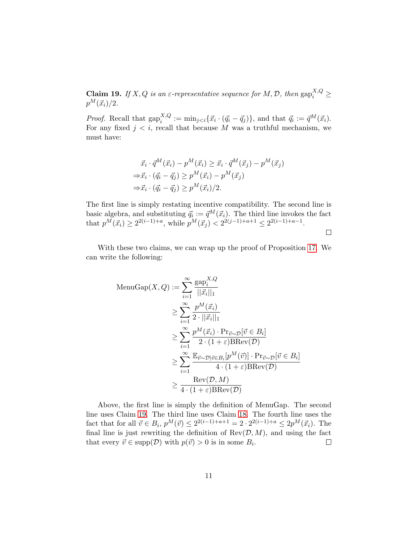**Claim 19.** If X, Q is an  $\varepsilon$ -representative sequence for M, D, then  $\text{gap}_i^{X,Q} \geq$  $p^M(\vec{x}_i)/2$ .

*Proof.* Recall that  $\text{gap}_i^{X,Q} := \min_{j \leq i} {\{\vec{x}_i \cdot (\vec{q}_i - \vec{q}_j)\}}$ , and that  $\vec{q}_i := \vec{q}^M(\vec{x}_i)$ . For any fixed  $j < i$ , recall that because M was a truthful mechanism, we must have:

$$
\vec{x}_i \cdot \vec{q}^M(\vec{x}_i) - p^M(\vec{x}_i) \ge \vec{x}_i \cdot \vec{q}^M(\vec{x}_j) - p^M(\vec{x}_j)
$$
  
\n
$$
\Rightarrow \vec{x}_i \cdot (\vec{q}_i - \vec{q}_j) \ge p^M(\vec{x}_i) - p^M(\vec{x}_j)
$$
  
\n
$$
\Rightarrow \vec{x}_i \cdot (\vec{q}_i - \vec{q}_j) \ge p^M(\vec{x}_i)/2.
$$

The first line is simply restating incentive compatibility. The second line is basic algebra, and substituting  $\vec{q}_i := \vec{q}^M(\vec{x}_i)$ . The third line invokes the fact that  $p^M(\vec{x}_i) \geq 2^{2(i-1)+a}$ , while  $p^M(\vec{x}_j) < 2^{2(j-1)+a+1} \leq 2^{2(i-1)+a-1}$ .

 $\Box$ 

With these two claims, we can wrap up the proof of Proposition [17.](#page-9-1) We can write the following:

$$
\begin{aligned}\n\text{MenuGap}(X, Q) &:= \sum_{i=1}^{\infty} \frac{\text{gap}_i^{X, Q}}{||\vec{x}_i||_1} \\
&\ge \sum_{i=1}^{\infty} \frac{p^M(\vec{x}_i)}{2 \cdot ||\vec{x}_i||_1} \\
&\ge \sum_{i=1}^{\infty} \frac{p^M(\vec{x}_i) \cdot \text{Pr}_{\vec{v} \sim \mathcal{D}}[\vec{v} \in B_i]}{2 \cdot (1 + \varepsilon) \text{BRev}(\mathcal{D})} \\
&\ge \sum_{i=1}^{\infty} \frac{\mathbb{E}_{\vec{v} \sim \mathcal{D}}[\vec{v} \in B_i[p^M(\vec{v})] \cdot \text{Pr}_{\vec{v} \sim \mathcal{D}}[\vec{v} \in B_i]}{4 \cdot (1 + \varepsilon) \text{BRev}(\mathcal{D})} \\
&\ge \frac{\text{Rev}(\mathcal{D}, M)}{4 \cdot (1 + \varepsilon) \text{BRev}(\mathcal{D})}\n\end{aligned}
$$

Above, the first line is simply the definition of MenuGap. The second line uses Claim [19.](#page-9-2) The third line uses Claim [18.](#page-9-3) The fourth line uses the fact that for all  $\vec{v} \in B_i$ ,  $p^M(\vec{v}) \leq 2^{2(i-1)+a+1} = 2 \cdot 2^{2(i-1)+a} \leq 2p^M(\vec{x}_i)$ . The final line is just rewriting the definition of  $\text{Rev}(\mathcal{D}, M)$ , and using the fact that every  $\vec{v} \in \text{supp}(\mathcal{D})$  with  $p(\vec{v}) > 0$  is in some  $B_i$ .  $\Box$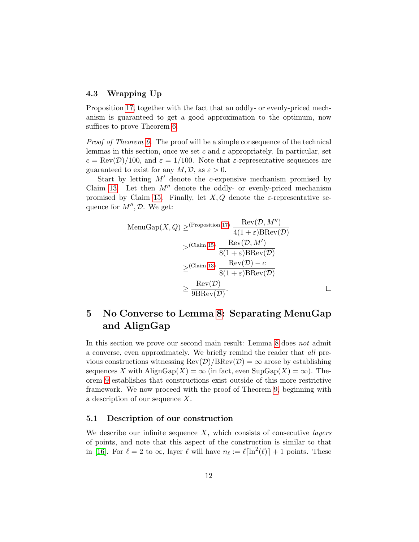#### 4.3 Wrapping Up

Proposition [17,](#page-9-1) together with the fact that an oddly- or evenly-priced mechanism is guaranteed to get a good approximation to the optimum, now suffices to prove Theorem [6.](#page-4-0)

Proof of Theorem [6.](#page-4-0) The proof will be a simple consequence of the technical lemmas in this section, once we set c and  $\varepsilon$  appropriately. In particular, set  $c = \text{Rev}(\mathcal{D})/100$ , and  $\varepsilon = 1/100$ . Note that  $\varepsilon$ -representative sequences are guaranteed to exist for any  $M, \mathcal{D}$ , as  $\varepsilon > 0$ .

Start by letting  $M'$  denote the c-expensive mechanism promised by Claim [13.](#page-8-0) Let then  $M''$  denote the oddly- or evenly-priced mechanism promised by Claim [15.](#page-8-1) Finally, let  $X, Q$  denote the  $\varepsilon$ -representative sequence for  $M'', \mathcal{D}$ . We get:

$$
\begin{aligned}\n\text{MenuGap}(X, Q) &\geq \frac{\text{(Proposition 17)}}{4(1+\varepsilon)\text{BRev}(\mathcal{D})} \\
&\geq \frac{\text{(Claim 15)}}{8(1+\varepsilon)\text{BRev}(\mathcal{D})} \\
&\geq \frac{\text{(Claim 13)}}{8(1+\varepsilon)\text{BRev}(\mathcal{D})} \\
&\geq \frac{\text{Rev}(\mathcal{D}) - c}{8(1+\varepsilon)\text{BRev}(\mathcal{D})} \\
&\geq \frac{\text{Rev}(\mathcal{D})}{9\text{BRev}(\mathcal{D})}.\n\end{aligned}
$$

## <span id="page-11-0"></span>5 No Converse to Lemma [8:](#page-6-2) Separating MenuGap and AlignGap

In this section we prove our second main result: Lemma [8](#page-6-2) does not admit a converse, even approximately. We briefly remind the reader that all previous constructions witnessing  $\text{Rev}(\mathcal{D})/\text{BRev}(\mathcal{D}) = \infty$  arose by establishing sequences X with AlignGap(X) =  $\infty$  (in fact, even SupGap(X) =  $\infty$ ). Theorem [9](#page-6-0) establishes that constructions exist outside of this more restrictive framework. We now proceed with the proof of Theorem [9,](#page-6-0) beginning with a description of our sequence X.

#### <span id="page-11-1"></span>5.1 Description of our construction

We describe our infinite sequence  $X$ , which consists of consecutive *layers* of points, and note that this aspect of the construction is similar to that in [\[16\]](#page-21-1). For  $\ell = 2$  to  $\infty$ , layer  $\ell$  will have  $n_{\ell} := \ell \lceil \ln^{2}(\ell) \rceil + 1$  points. These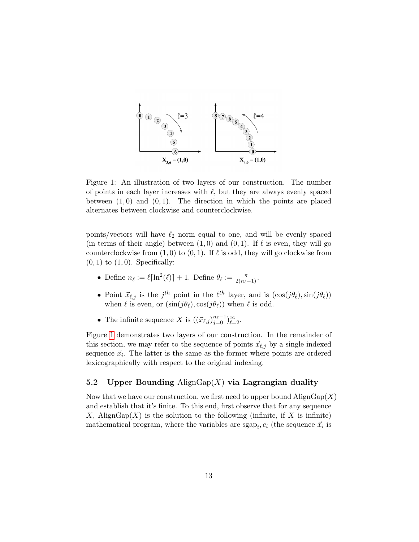<span id="page-12-0"></span>

Figure 1: An illustration of two layers of our construction. The number of points in each layer increases with  $\ell$ , but they are always evenly spaced between  $(1, 0)$  and  $(0, 1)$ . The direction in which the points are placed alternates between clockwise and counterclockwise.

points/vectors will have  $\ell_2$  norm equal to one, and will be evenly spaced (in terms of their angle) between  $(1, 0)$  and  $(0, 1)$ . If  $\ell$  is even, they will go counterclockwise from  $(1, 0)$  to  $(0, 1)$ . If  $\ell$  is odd, they will go clockwise from  $(0, 1)$  to  $(1, 0)$ . Specifically:

- Define  $n_\ell := \ell \lceil \ln^2(\ell) \rceil + 1$ . Define  $\theta_\ell := \frac{\pi}{2(n_\ell 1)}$ .
- Point  $\vec{x}_{\ell,j}$  is the j<sup>th</sup> point in the  $\ell^{th}$  layer, and is  $(\cos(j\theta_{\ell}),\sin(j\theta_{\ell}))$ when  $\ell$  is even, or  $(\sin(j\theta_{\ell}), \cos(j\theta_{\ell}))$  when  $\ell$  is odd.
- The infinite sequence X is  $((\vec{x}_{\ell,j})_{j=0}^{n_{\ell}-1})_{\ell=2}^{\infty}$ .

Figure [1](#page-12-0) demonstrates two layers of our construction. In the remainder of this section, we may refer to the sequence of points  $\vec{x}_{\ell,j}$  by a single indexed sequence  $\vec{x}_i$ . The latter is the same as the former where points are ordered lexicographically with respect to the original indexing.

#### 5.2 Upper Bounding Align $\text{Gap}(X)$  via Lagrangian duality

Now that we have our construction, we first need to upper bound  $\text{AlignGap}(X)$ and establish that it's finite. To this end, first observe that for any sequence X, AlignGap $(X)$  is the solution to the following (infinite, if X is infinite) mathematical program, where the variables are  $\text{sgap}_i, c_i$  (the sequence  $\vec{x}_i$  is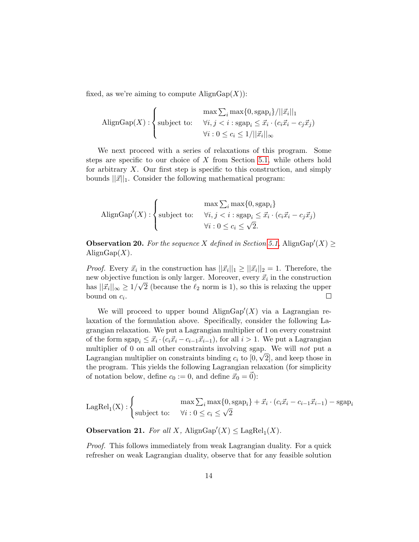fixed, as we're aiming to compute  $\text{AlignGap}(X)$ :

$$
\text{A lignGap}(X) : \begin{cases} \max \sum_{i} \max\{0, \text{sgap}_i\} / ||\vec{x}_i||_1 \\ \text{subject to:} & \forall i, j < i : \text{sgap}_i \leq \vec{x}_i \cdot (c_i \vec{x}_i - c_j \vec{x}_j) \\ & \forall i : 0 \leq c_i \leq 1 / ||\vec{x}_i||_{\infty} \end{cases}
$$

We next proceed with a series of relaxations of this program. Some steps are specific to our choice of  $X$  from Section [5.1,](#page-11-1) while others hold for arbitrary  $X$ . Our first step is specific to this construction, and simply bounds  $||\vec{x}||_1$ . Consider the following mathematical program:

$$
\text{A lignGap}'(X) : \left\{ \begin{aligned} \max \sum_{i} \max \{0, \text{sgap}_i\} \\ \forall i, j < i : \text{sgap}_i \leq \vec{x}_i \cdot (c_i \vec{x}_i - c_j \vec{x}_j) \\ \forall i : 0 \leq c_i \leq \sqrt{2}. \end{aligned} \right.
$$

<span id="page-13-0"></span>**Observation 20.** For the sequence X defined in Section [5.1,](#page-11-1) AlignGap'(X)  $\geq$ Align $\text{Gap}(X)$ .

*Proof.* Every  $\vec{x}_i$  in the construction has  $||\vec{x}_i||_1 \geq ||\vec{x}_i||_2 = 1$ . Therefore, the new objective function is only larger. Moreover, every  $\vec{x}_i$  in the construction has  $||\vec{x}_i||_{\infty} \ge 1/\sqrt{2}$  (because the  $\ell_2$  norm is 1), so this is relaxing the upper bound on  $c_i$ .  $\Box$ 

We will proceed to upper bound  $\text{AlignGap}'(X)$  via a Lagrangian relaxation of the formulation above. Specifically, consider the following Lagrangian relaxation. We put a Lagrangian multiplier of 1 on every constraint of the form  $\text{sgap}_i \leq \vec{x}_i \cdot (c_i \vec{x}_i - c_{i-1} \vec{x}_{i-1}),$  for all  $i > 1$ . We put a Lagrangian multiplier of 0 on all other constraints involving sgap. We will *not* put a Lagrangian multiplier on constraints binding  $c_i$  to  $[0, \sqrt{2}]$ , and keep those in the program. This yields the following Lagrangian relaxation (for simplicity of notation below, define  $c_0 := 0$ , and define  $\vec{x}_0 = \vec{0}$ :

$$
\text{LagRel}_1(X) : \begin{cases} \max \sum_i \max\{0, \text{sgap}_i\} + \vec{x}_i \cdot (c_i \vec{x}_i - c_{i-1} \vec{x}_{i-1}) - \text{sgap}_i\\ \text{subject to:} \quad \forall i : 0 \le c_i \le \sqrt{2} \end{cases}
$$

**Observation 21.** For all X,  $\text{AlignGap}'(X) \leq \text{LagRel}_1(X)$ .

Proof. This follows immediately from weak Lagrangian duality. For a quick refresher on weak Lagrangian duality, observe that for any feasible solution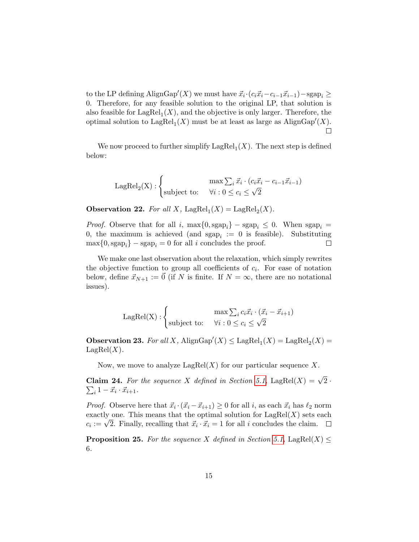to the LP defining AlignGap'(X) we must have  $\vec{x}_i \cdot (c_i \vec{x}_i - c_{i-1} \vec{x}_{i-1}) - \text{sgap}_i \geq$ 0. Therefore, for any feasible solution to the original LP, that solution is also feasible for  $\text{LagRel}_1(X)$ , and the objective is only larger. Therefore, the optimal solution to  $\text{LagRel}_1(X)$  must be at least as large as  $\text{AlignGap}'(X)$ .  $\Box$ 

We now proceed to further simplify  $\text{LagRel}_1(X)$ . The next step is defined below:

$$
\text{LagRel}_2(X) : \begin{cases} \max \sum_i \vec{x}_i \cdot (c_i \vec{x}_i - c_{i-1} \vec{x}_{i-1}) \\ \text{subject to:} \quad \forall i : 0 \le c_i \le \sqrt{2} \end{cases}
$$

**Observation 22.** For all X, LagRel<sub>1</sub> $(X)$  = LagRel<sub>2</sub> $(X)$ .

*Proof.* Observe that for all i,  $\max\{0, \text{sgap}_i\} - \text{sgap}_i \leq 0$ . When  $\text{sgap}_i =$ 0, the maximum is achieved (and  $\text{sgap}_i := 0$  is feasible). Substituting  $\max\{0, \text{sgap}_i\} - \text{sgap}_i = 0$  for all i concludes the proof.  $\Box$ 

We make one last observation about the relaxation, which simply rewrites the objective function to group all coefficients of  $c_i$ . For ease of notation below, define  $\vec{x}_{N+1} := \vec{0}$  (if N is finite. If  $N = \infty$ , there are no notational issues).

$$
\text{LagRel}(X) : \begin{cases} \max \sum_i c_i \vec{x}_i \cdot (\vec{x}_i - \vec{x}_{i+1}) \\ \text{subject to:} \quad \forall i : 0 \le c_i \le \sqrt{2} \end{cases}
$$

<span id="page-14-0"></span>**Observation 23.** For all X,  $\text{AlignGap}'(X) \leq \text{LagRel}_1(X) = \text{LagRel}_2(X) =$  $\text{LagRel}(X)$ .

Now, we move to analyze  $\text{LagRel}(X)$  for our particular sequence X.

**Claim 24.** For the sequence X defined in Section [5.1,](#page-11-1) LagRel $(X) = \sqrt{2}$ .  $\sum_i 1 - \vec{x}_i \cdot \vec{x}_{i+1}.$ 

*Proof.* Observe here that  $\vec{x}_i \cdot (\vec{x}_i - \vec{x}_{i+1}) \geq 0$  for all i, as each  $\vec{x}_i$  has  $\ell_2$  norm exactly one. This means that the optimal solution for  $\text{LagRel}(X)$  sets each exactly one. This means that the optimal solution for LagRet( $\Lambda$ ) sets  $c_i := \sqrt{2}$ . Finally, recalling that  $\vec{x}_i \cdot \vec{x}_i = 1$  for all i concludes the claim.

<span id="page-14-1"></span>**Proposition 25.** For the sequence X defined in Section [5.1,](#page-11-1) LagRel $(X) \leq$ 6.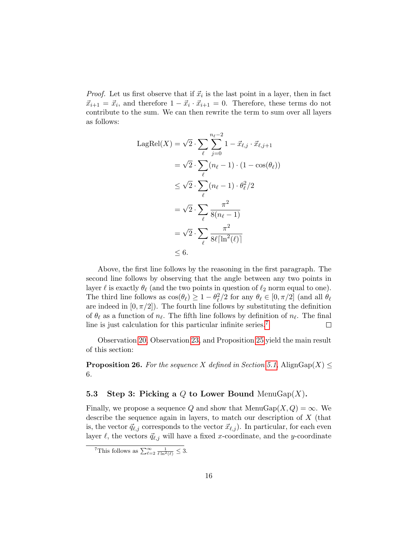*Proof.* Let us first observe that if  $\vec{x}_i$  is the last point in a layer, then in fact  $\vec{x}_{i+1} = \vec{x}_i$ , and therefore  $1 - \vec{x}_i \cdot \vec{x}_{i+1} = 0$ . Therefore, these terms do not contribute to the sum. We can then rewrite the term to sum over all layers as follows:

$$
LagRel(X) = \sqrt{2} \cdot \sum_{\ell} \sum_{j=0}^{n_{\ell}-2} 1 - \vec{x}_{\ell,j} \cdot \vec{x}_{\ell,j+1}
$$
  
=  $\sqrt{2} \cdot \sum_{\ell} (n_{\ell} - 1) \cdot (1 - \cos(\theta_{\ell}))$   
≤  $\sqrt{2} \cdot \sum_{\ell} (n_{\ell} - 1) \cdot \theta_{\ell}^2 / 2$   
=  $\sqrt{2} \cdot \sum_{\ell} \frac{\pi^2}{8(n_{\ell} - 1)}$   
=  $\sqrt{2} \cdot \sum_{\ell} \frac{\pi^2}{8\ell \lceil \ln^2(\ell) \rceil}$   
≤ 6.

Above, the first line follows by the reasoning in the first paragraph. The second line follows by observing that the angle between any two points in layer  $\ell$  is exactly  $\theta_{\ell}$  (and the two points in question of  $\ell_2$  norm equal to one). The third line follows as  $\cos(\theta_\ell) \ge 1 - \theta_\ell^2/2$  for any  $\theta_\ell \in [0, \pi/2]$  (and all  $\theta_\ell$ ) are indeed in  $[0, \pi/2]$ . The fourth line follows by substituting the definition of  $\theta_\ell$  as a function of  $n_\ell$ . The fifth line follows by definition of  $n_\ell$ . The final line is just calculation for this particular infinite series.[7](#page-15-0)  $\Box$ 

Observation [20,](#page-13-0) Observation [23,](#page-14-0) and Proposition [25](#page-14-1) yield the main result of this section:

<span id="page-15-1"></span>**Proposition 26.** For the sequence X defined in Section [5.1,](#page-11-1) AlignGap(X)  $\leq$ 6.

#### 5.3 Step 3: Picking a Q to Lower Bound MenuGap $(X)$ .

Finally, we propose a sequence Q and show that  $MenuGap(X,Q) = \infty$ . We describe the sequence again in layers, to match our description of X (that is, the vector  $\vec{q}_{\ell,j}$  corresponds to the vector  $\vec{x}_{\ell,j}$ ). In particular, for each even layer  $\ell$ , the vectors  $\vec{q}_{\ell,j}$  will have a fixed x-coordinate, and the y-coordinate

<span id="page-15-0"></span><sup>&</sup>lt;sup>7</sup>This follows as  $\sum_{\ell=2}^{\infty} \frac{1}{\ell \ln^2(\ell)} \leq 3$ .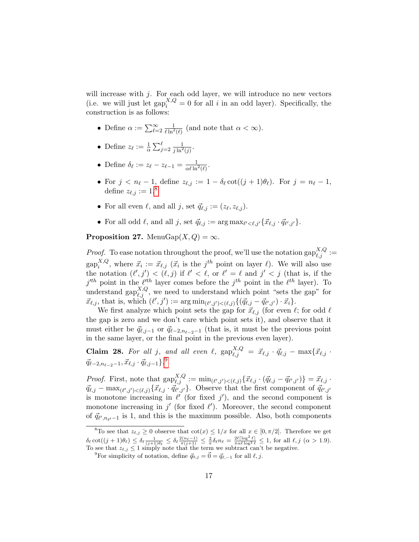will increase with  $j$ . For each odd layer, we will introduce no new vectors (i.e. we will just let  $\text{gap}_i^{X,Q} = 0$  for all i in an odd layer). Specifically, the construction is as follows:

- Define  $\alpha := \sum_{\ell=2}^{\infty} \frac{1}{\ell \ln^2(\ell)}$  (and note that  $\alpha < \infty$ ).
- Define  $z_{\ell} := \frac{1}{\alpha} \sum_{j=2}^{\ell} \frac{1}{j \ln^2(j)}$ .
- Define  $\delta_{\ell} := z_{\ell} z_{\ell-1} = \frac{1}{\alpha \ell \ln^2(\ell)}.$
- For  $j < n_{\ell} 1$ , define  $z_{\ell,j} := 1 \delta_{\ell} \cot((j + 1)\theta_{\ell})$ . For  $j = n_{\ell} 1$ , define  $z_{\ell,j} := 1.8$  $z_{\ell,j} := 1.8$
- For all even  $\ell$ , and all j, set  $\vec{q}_{\ell,j} := (z_{\ell}, z_{\ell,j}).$
- For all odd  $\ell$ , and all j, set  $\vec{q}_{\ell,j} := \arg \max_{\ell' < \ell, j'} \{ \vec{x}_{\ell,j} \cdot \vec{q}_{\ell',j'} \}.$

<span id="page-16-2"></span>**Proposition 27.** MenuGap $(X, Q) = \infty$ .

*Proof.* To ease notation throughout the proof, we'll use the notation  $\text{gap}_{\ell,j}^{X,Q} :=$  $\text{gap}_i^{X,Q}$  $i<sup>X,Q</sup>$ , where  $\vec{x}_i := \vec{x}_{\ell,j}$  ( $\vec{x}_i$  is the  $j<sup>th</sup>$  point on layer  $\ell$ ). We will also use the notation  $(\ell', j') < (\ell, j)$  if  $\ell' < \ell$ , or  $\ell' = \ell$  and  $j' < j$  (that is, if the  $j<sup>th</sup>$  point in the  $\ell<sup>th</sup>$  layer comes before the  $j<sup>th</sup>$  point in the  $\ell<sup>th</sup>$  layer). To understand gap $_{\ell,j}^{X,Q}$ , we need to understand which point "sets the gap" for  $\vec{x}_{\ell,j}$ , that is, which  $(\ell', j') := \arg \min_{(\ell',j') < (\ell,j)} \{(\vec{q}_{\ell,j} - \vec{q}_{\ell',j'}) \cdot \vec{x}_i\}.$ 

We first analyze which point sets the gap for  $\vec{x}_{\ell,j}$  (for even  $\ell$ ; for odd  $\ell$ the gap is zero and we don't care which point sets it), and observe that it must either be  $\vec{q}_{\ell,j-1}$  or  $\vec{q}_{\ell-2,n_{\ell-2}-1}$  (that is, it must be the previous point in the same layer, or the final point in the previous even layer).

Claim 28. For all j, and all even  $\ell$ ,  $\text{gap}_{\ell,j}^{X,Q} = \vec{x}_{\ell,j} \cdot \vec{q}_{\ell,j} - \max\{\vec{x}_{\ell,j} \cdot \vec{q}_{\ell,j} \}$  $\vec{q}_{\ell-2,n_{\ell-2}-1}, \vec{x}_{\ell,j} \cdot \vec{q}_{\ell,j-1}\} .^9$  $\vec{q}_{\ell-2,n_{\ell-2}-1}, \vec{x}_{\ell,j} \cdot \vec{q}_{\ell,j-1}\} .^9$ 

*Proof.* First, note that  $\text{gap}_{\ell,j}^{X,Q} := \min_{(\ell',j') < (\ell,j)} \{ \vec{x}_{\ell,j} \cdot (\vec{q}_{\ell,j} - \vec{q}_{\ell',j'}) \} = \vec{x}_{\ell,j}$ .  $\vec{q}_{\ell,j} - \max_{(\ell',j') < (\ell,j)} \{\vec{x}_{\ell,j} \cdot \vec{q}_{\ell',j'}\}.$  Observe that the first component of  $\vec{q}_{\ell',j'}$ is monotone increasing in  $\ell'$  (for fixed j'), and the second component is monotone increasing in  $j'$  (for fixed  $\ell'$ ). Moreover, the second component of  $\vec{q}_{\ell',n_{\ell'}-1}$  is 1, and this is the maximum possible. Also, both components

<span id="page-16-0"></span><sup>&</sup>lt;sup>8</sup>To see that  $z_{\ell,j} \geq 0$  observe that  $\cot(x) \leq 1/x$  for all  $x \in [0, \pi/2]$ . Therefore we get  $\delta_{\ell} \cot((j+1)\theta_{\ell}) \leq \delta_{\ell} \frac{1}{(j+1)\theta_{\ell}} \leq \delta_{\ell} \frac{2(n_{\ell}-1)}{\pi(j+1)} \leq \frac{2}{\pi} \delta_{\ell} n_{\ell} = \frac{2\ell \lceil \log^2 \ell \rceil}{\pi \alpha \ell \log^2 \ell} \leq 1$ , for all  $\ell, j \ (\alpha > 1.9)$ . To see that  $z_{\ell,j} \leq 1$  simply note that the term we subtract can't be negative.

<span id="page-16-1"></span><sup>&</sup>lt;sup>9</sup>For simplicity of notation, define  $\vec{q}_{0,j} = \vec{0} = \vec{q}_{\ell,-1}$  for all  $\ell, j$ .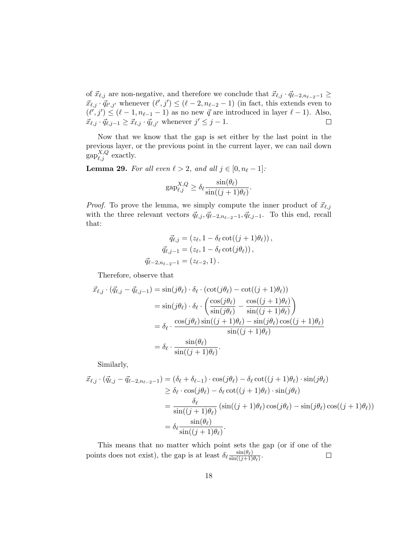of  $\vec{x}_{\ell,j}$  are non-negative, and therefore we conclude that  $\vec{x}_{\ell,j} \cdot \vec{q}_{\ell-2,n_{\ell-2}-1} \geq$  $\vec{x}_{\ell,j} \cdot \vec{q}_{\ell',j'}$  whenever  $(\ell',j') \leq (\ell-2, n_{\ell-2} - 1)$  (in fact, this extends even to  $(\ell', j') \leq (\ell - 1, n_{\ell-1} - 1)$  as no new  $\vec{q}$  are introduced in layer  $\ell - 1$ ). Also,  $\vec{x}_{\ell,j} \cdot \vec{q}_{\ell,j-1} \geq \vec{x}_{\ell,j} \cdot \vec{q}_{\ell,j'}$  whenever  $j' \leq j-1$ .  $\Box$ 

Now that we know that the gap is set either by the last point in the previous layer, or the previous point in the current layer, we can nail down  $\operatorname{gap}_{\ell,j}^{X,Q}$  exactly.

<span id="page-17-0"></span>**Lemma 29.** For all even  $\ell > 2$ , and all  $j \in [0, n_{\ell} - 1]$ :

$$
\text{gap}_{\ell,j}^{X,Q} \ge \delta_\ell \frac{\sin(\theta_\ell)}{\sin((j+1)\theta_\ell)}
$$

.

*Proof.* To prove the lemma, we simply compute the inner product of  $\vec{x}_{\ell,j}$ with the three relevant vectors  $\vec{q}_{\ell,j}, \vec{q}_{\ell-2,n_{\ell-2}-1}, \vec{q}_{\ell,j-1}$ . To this end, recall that:

$$
\vec{q}_{\ell,j} = (z_{\ell}, 1 - \delta_{\ell} \cot((j+1)\theta_{\ell})), \n\vec{q}_{\ell,j-1} = (z_{\ell}, 1 - \delta_{\ell} \cot(j\theta_{\ell})), \n\vec{q}_{\ell-2,n_{\ell-2}-1} = (z_{\ell-2}, 1).
$$

Therefore, observe that

$$
\vec{x}_{\ell,j} \cdot (\vec{q}_{\ell,j} - \vec{q}_{\ell,j-1}) = \sin(j\theta_{\ell}) \cdot \delta_{\ell} \cdot (\cot(j\theta_{\ell}) - \cot((j+1)\theta_{\ell}))
$$
\n
$$
= \sin(j\theta_{\ell}) \cdot \delta_{\ell} \cdot \left(\frac{\cos(j\theta_{\ell})}{\sin(j\theta_{\ell})} - \frac{\cos((j+1)\theta_{\ell})}{\sin((j+1)\theta_{\ell})}\right)
$$
\n
$$
= \delta_{\ell} \cdot \frac{\cos(j\theta_{\ell})\sin((j+1)\theta_{\ell}) - \sin(j\theta_{\ell})\cos((j+1)\theta_{\ell})}{\sin((j+1)\theta_{\ell})}
$$
\n
$$
= \delta_{\ell} \cdot \frac{\sin(\theta_{\ell})}{\sin((j+1)\theta_{\ell})}.
$$

Similarly,

$$
\vec{x}_{\ell,j} \cdot (\vec{q}_{\ell,j} - \vec{q}_{\ell-2,n_{\ell-2}-1}) = (\delta_{\ell} + \delta_{\ell-1}) \cdot \cos(j\theta_{\ell}) - \delta_{\ell} \cot((j+1)\theta_{\ell}) \cdot \sin(j\theta_{\ell}) \n\ge \delta_{\ell} \cdot \cos(j\theta_{\ell}) - \delta_{\ell} \cot((j+1)\theta_{\ell}) \cdot \sin(j\theta_{\ell}) \n= \frac{\delta_{\ell}}{\sin((j+1)\theta_{\ell})} (\sin((j+1)\theta_{\ell}) \cos(j\theta_{\ell}) - \sin(j\theta_{\ell}) \cos((j+1)\theta_{\ell})) \n= \delta_{\ell} \frac{\sin(\theta_{\ell})}{\sin((j+1)\theta_{\ell})}.
$$

This means that no matter which point sets the gap (or if one of the points does not exist), the gap is at least  $\delta_{\ell} \frac{\sin(\theta_{\ell})}{\sin((i+1))}$  $\frac{\sin(\theta_\ell)}{\sin((j+1)\theta_\ell)}$ .  $\Box$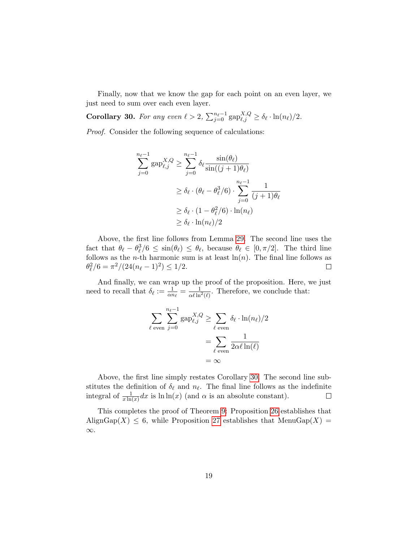Finally, now that we know the gap for each point on an even layer, we just need to sum over each even layer.

<span id="page-18-0"></span>**Corollary 30.** For any even  $\ell > 2$ ,  $\sum_{j=0}^{n_{\ell}-1} \text{gap}_{\ell,j}^{X,Q} \geq \delta_{\ell} \cdot \ln(n_{\ell})/2$ .

Proof. Consider the following sequence of calculations:

$$
\sum_{j=0}^{n_{\ell}-1} \text{gap}_{\ell,j}^{X,Q} \ge \sum_{j=0}^{n_{\ell}-1} \delta_{\ell} \frac{\sin(\theta_{\ell})}{\sin((j+1)\theta_{\ell})}
$$
  

$$
\ge \delta_{\ell} \cdot (\theta_{\ell} - \theta_{\ell}^{3}/6) \cdot \sum_{j=0}^{n_{\ell}-1} \frac{1}{(j+1)\theta_{\ell}}
$$
  

$$
\ge \delta_{\ell} \cdot (1 - \theta_{\ell}^{2}/6) \cdot \ln(n_{\ell})
$$
  

$$
\ge \delta_{\ell} \cdot \ln(n_{\ell})/2
$$

Above, the first line follows from Lemma [29.](#page-17-0) The second line uses the fact that  $\theta_{\ell} - \theta_{\ell}^3/6 \leq \sin(\theta_{\ell}) \leq \theta_{\ell}$ , because  $\theta_{\ell} \in [0, \pi/2]$ . The third line follows as the *n*-th harmonic sum is at least  $\ln(n)$ . The final line follows as  $\theta_{\ell}^2/6 = \pi^2/(24(n_{\ell} - 1)^2) \le 1/2.$  $\Box$ 

And finally, we can wrap up the proof of the proposition. Here, we just need to recall that  $\delta_{\ell} := \frac{1}{\alpha n_{\ell}} = \frac{1}{\alpha \ell \ln^2(\ell)}$ . Therefore, we conclude that:

$$
\sum_{\ell \text{ even}} \sum_{j=0}^{n_{\ell}-1} \text{gap}_{\ell,j}^{X,Q} \ge \sum_{\ell \text{ even}} \delta_{\ell} \cdot \ln(n_{\ell})/2
$$

$$
= \sum_{\ell \text{ even}} \frac{1}{2\alpha \ell \ln(\ell)}
$$

$$
= \infty
$$

Above, the first line simply restates Corollary [30.](#page-18-0) The second line substitutes the definition of  $\delta_{\ell}$  and  $n_{\ell}$ . The final line follows as the indefinite integral of  $\frac{1}{x \ln(x)} dx$  is  $\ln \ln(x)$  (and  $\alpha$  is an absolute constant).  $\Box$ 

This completes the proof of Theorem [9:](#page-6-0) Proposition [26](#page-15-1) establishes that AlignGap $(X) \leq 6$ , while Proposition [27](#page-16-2) establishes that MenuGap $(X)$  = ∞.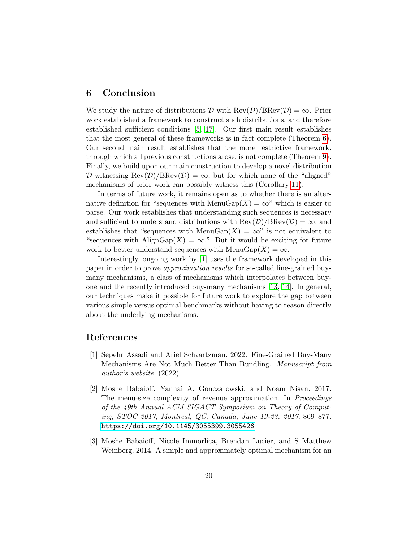## 6 Conclusion

We study the nature of distributions  $\mathcal D$  with  $\text{Rev}(\mathcal D)/\text{BRev}(\mathcal D) = \infty$ . Prior work established a framework to construct such distributions, and therefore established sufficient conditions [\[5,](#page-20-0) [17\]](#page-21-0). Our first main result establishes that the most general of these frameworks is in fact complete (Theorem [6\)](#page-4-0). Our second main result establishes that the more restrictive framework, through which all previous constructions arose, is not complete (Theorem [9\)](#page-6-0). Finally, we build upon our main construction to develop a novel distribution D witnessing  $\text{Rev}(\mathcal{D})/\text{BRev}(\mathcal{D}) = \infty$ , but for which none of the "aligned" mechanisms of prior work can possibly witness this (Corollary [11\)](#page-6-1).

In terms of future work, it remains open as to whether there is an alternative definition for "sequences with MenuGap $(X) = \infty$ " which is easier to parse. Our work establishes that understanding such sequences is necessary and sufficient to understand distributions with  $\text{Rev}(\mathcal{D})/\text{BRev}(\mathcal{D}) = \infty$ , and establishes that "sequences with MenuGap $(X) = \infty$ " is not equivalent to "sequences with  $\text{AlignGap}(X) = \infty$ ." But it would be exciting for future work to better understand sequences with MenuGap $(X) = \infty$ .

Interestingly, ongoing work by [\[1\]](#page-19-2) uses the framework developed in this paper in order to prove approximation results for so-called fine-grained buymany mechanisms, a class of mechanisms which interpolates between buyone and the recently introduced buy-many mechanisms [\[13,](#page-20-7) [14\]](#page-21-6). In general, our techniques make it possible for future work to explore the gap between various simple versus optimal benchmarks without having to reason directly about the underlying mechanisms.

## References

- <span id="page-19-2"></span>[1] Sepehr Assadi and Ariel Schvartzman. 2022. Fine-Grained Buy-Many Mechanisms Are Not Much Better Than Bundling. Manuscript from author's website. (2022).
- <span id="page-19-1"></span>[2] Moshe Babaioff, Yannai A. Gonczarowski, and Noam Nisan. 2017. The menu-size complexity of revenue approximation. In Proceedings of the 49th Annual ACM SIGACT Symposium on Theory of Computing, STOC 2017, Montreal, QC, Canada, June 19-23, 2017. 869–877. <https://doi.org/10.1145/3055399.3055426>
- <span id="page-19-0"></span>[3] Moshe Babaioff, Nicole Immorlica, Brendan Lucier, and S Matthew Weinberg. 2014. A simple and approximately optimal mechanism for an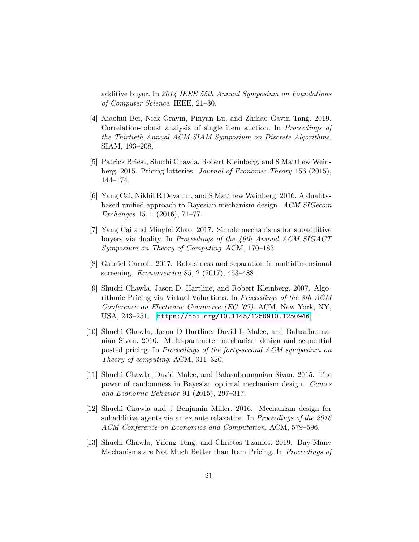additive buyer. In 2014 IEEE 55th Annual Symposium on Foundations of Computer Science. IEEE, 21–30.

- <span id="page-20-9"></span>[4] Xiaohui Bei, Nick Gravin, Pinyan Lu, and Zhihao Gavin Tang. 2019. Correlation-robust analysis of single item auction. In Proceedings of the Thirtieth Annual ACM-SIAM Symposium on Discrete Algorithms. SIAM, 193–208.
- <span id="page-20-0"></span>[5] Patrick Briest, Shuchi Chawla, Robert Kleinberg, and S Matthew Weinberg. 2015. Pricing lotteries. Journal of Economic Theory 156 (2015), 144–174.
- <span id="page-20-4"></span>[6] Yang Cai, Nikhil R Devanur, and S Matthew Weinberg. 2016. A dualitybased unified approach to Bayesian mechanism design. ACM SIGecom Exchanges 15, 1 (2016), 71–77.
- <span id="page-20-6"></span>[7] Yang Cai and Mingfei Zhao. 2017. Simple mechanisms for subadditive buyers via duality. In Proceedings of the 49th Annual ACM SIGACT Symposium on Theory of Computing. ACM, 170–183.
- <span id="page-20-8"></span>[8] Gabriel Carroll. 2017. Robustness and separation in multidimensional screening. Econometrica 85, 2 (2017), 453–488.
- <span id="page-20-1"></span>[9] Shuchi Chawla, Jason D. Hartline, and Robert Kleinberg. 2007. Algorithmic Pricing via Virtual Valuations. In Proceedings of the 8th ACM Conference on Electronic Commerce (EC '07). ACM, New York, NY, USA, 243–251. <https://doi.org/10.1145/1250910.1250946>
- <span id="page-20-2"></span>[10] Shuchi Chawla, Jason D Hartline, David L Malec, and Balasubramanian Sivan. 2010. Multi-parameter mechanism design and sequential posted pricing. In Proceedings of the forty-second ACM symposium on Theory of computing. ACM, 311–320.
- <span id="page-20-3"></span>[11] Shuchi Chawla, David Malec, and Balasubramanian Sivan. 2015. The power of randomness in Bayesian optimal mechanism design. Games and Economic Behavior 91 (2015), 297–317.
- <span id="page-20-5"></span>[12] Shuchi Chawla and J Benjamin Miller. 2016. Mechanism design for subadditive agents via an ex ante relaxation. In Proceedings of the 2016 ACM Conference on Economics and Computation. ACM, 579–596.
- <span id="page-20-7"></span>[13] Shuchi Chawla, Yifeng Teng, and Christos Tzamos. 2019. Buy-Many Mechanisms are Not Much Better than Item Pricing. In Proceedings of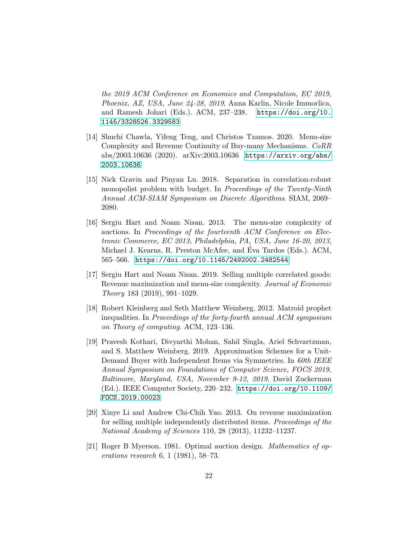the 2019 ACM Conference on Economics and Computation, EC 2019, Phoenix, AZ, USA, June 24-28, 2019, Anna Karlin, Nicole Immorlica, and Ramesh Johari (Eds.). ACM, 237–238. [https://doi.org/10.](https://doi.org/10.1145/3328526.3329583) [1145/3328526.3329583](https://doi.org/10.1145/3328526.3329583)

- <span id="page-21-6"></span>[14] Shuchi Chawla, Yifeng Teng, and Christos Tzamos. 2020. Menu-size Complexity and Revenue Continuity of Buy-many Mechanisms. CoRR abs/2003.10636 (2020). arXiv:2003.10636 [https://arxiv.org/abs/](https://arxiv.org/abs/2003.10636) [2003.10636](https://arxiv.org/abs/2003.10636)
- <span id="page-21-7"></span>[15] Nick Gravin and Pinyan Lu. 2018. Separation in correlation-robust monopolist problem with budget. In Proceedings of the Twenty-Ninth Annual ACM-SIAM Symposium on Discrete Algorithms. SIAM, 2069– 2080.
- <span id="page-21-1"></span>[16] Sergiu Hart and Noam Nisan. 2013. The menu-size complexity of auctions. In Proceedings of the fourteenth ACM Conference on Electronic Commerce, EC 2013, Philadelphia, PA, USA, June 16-20, 2013, Michael J. Kearns, R. Preston McAfee, and Eva Tardos (Eds.). ACM, ´ 565–566. <https://doi.org/10.1145/2492002.2482544>
- <span id="page-21-0"></span>[17] Sergiu Hart and Noam Nisan. 2019. Selling multiple correlated goods: Revenue maximization and menu-size complexity. Journal of Economic Theory 183 (2019), 991–1029.
- <span id="page-21-3"></span>[18] Robert Kleinberg and Seth Matthew Weinberg. 2012. Matroid prophet inequalities. In Proceedings of the forty-fourth annual ACM symposium on Theory of computing. ACM, 123–136.
- <span id="page-21-5"></span>[19] Pravesh Kothari, Divyarthi Mohan, Sahil Singla, Ariel Schvartzman, and S. Matthew Weinberg. 2019. Approximation Schemes for a Unit-Demand Buyer with Independent Items via Symmetries. In 60th IEEE Annual Symposium on Foundations of Computer Science, FOCS 2019, Baltimore, Maryland, USA, November 9-12, 2019, David Zuckerman (Ed.). IEEE Computer Society, 220–232. [https://doi.org/10.1109/](https://doi.org/10.1109/FOCS.2019.00023) [FOCS.2019.00023](https://doi.org/10.1109/FOCS.2019.00023)
- <span id="page-21-4"></span>[20] Xinye Li and Andrew Chi-Chih Yao. 2013. On revenue maximization for selling multiple independently distributed items. Proceedings of the National Academy of Sciences 110, 28 (2013), 11232–11237.
- <span id="page-21-2"></span>[21] Roger B Myerson. 1981. Optimal auction design. Mathematics of operations research 6, 1 (1981), 58–73.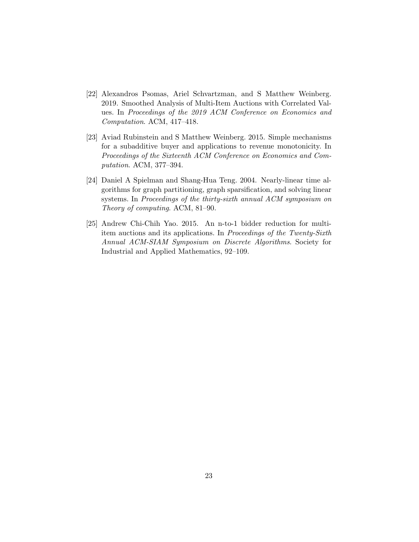- <span id="page-22-2"></span>[22] Alexandros Psomas, Ariel Schvartzman, and S Matthew Weinberg. 2019. Smoothed Analysis of Multi-Item Auctions with Correlated Values. In Proceedings of the 2019 ACM Conference on Economics and Computation. ACM, 417–418.
- <span id="page-22-1"></span>[23] Aviad Rubinstein and S Matthew Weinberg. 2015. Simple mechanisms for a subadditive buyer and applications to revenue monotonicity. In Proceedings of the Sixteenth ACM Conference on Economics and Computation. ACM, 377–394.
- <span id="page-22-3"></span>[24] Daniel A Spielman and Shang-Hua Teng. 2004. Nearly-linear time algorithms for graph partitioning, graph sparsification, and solving linear systems. In Proceedings of the thirty-sixth annual ACM symposium on Theory of computing. ACM, 81–90.
- <span id="page-22-0"></span>[25] Andrew Chi-Chih Yao. 2015. An n-to-1 bidder reduction for multiitem auctions and its applications. In Proceedings of the Twenty-Sixth Annual ACM-SIAM Symposium on Discrete Algorithms. Society for Industrial and Applied Mathematics, 92–109.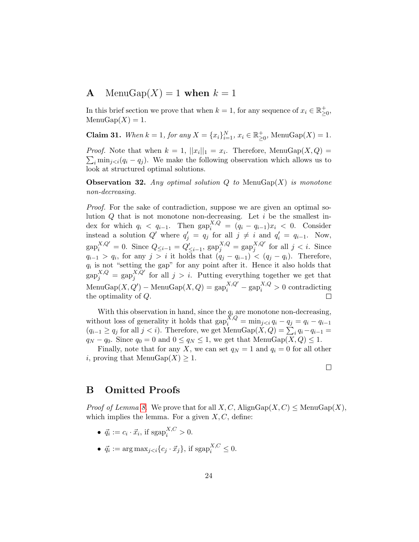## <span id="page-23-0"></span>**A** MenuGap $(X) = 1$  when  $k = 1$

In this brief section we prove that when  $k = 1$ , for any sequence of  $x_i \in \mathbb{R}^+_{\geq 0}$ ,  $MenuGap(X) = 1.$ 

**Claim 31.** When  $k = 1$ , for any  $X = \{x_i\}_{i=1}^N$ ,  $x_i \in \mathbb{R}_{\geq 0}^+$ , Menu $\text{Gap}(X) = 1$ .

*Proof.* Note that when  $k = 1$ ,  $||x_i||_1 = x_i$ . Therefore, MenuGap $(X, Q)$  $\sum_i \min_{j \leq i} (q_i - q_j)$ . We make the following observation which allows us to look at structured optimal solutions.

**Observation 32.** Any optimal solution  $Q$  to MenuGap $(X)$  is monotone non-decreasing.

Proof. For the sake of contradiction, suppose we are given an optimal solution  $Q$  that is not monotone non-decreasing. Let  $i$  be the smallest index for which  $q_i \, < \, q_{i-1}$ . Then  $\text{gap}_i^{X,Q} = (q_i - q_{i-1})x_i \, < \, 0$ . Consider instead a solution  $Q'$  where  $q'_j = q_j$  for all  $j \neq i$  and  $q'_i = q_{i-1}$ . Now,  $\text{gap}_{i}^{X,Q'} = 0.$  Since  $Q_{\leq i-1} = Q'_{\leq i-1}, \text{ gap}_{j}^{X,Q} = \text{gap}_{j}^{X,Q'}$  $_j^{A,Q}$  for all  $j < i$ . Since  $q_{i-1} > q_i$ , for any  $j > i$  it holds that  $(q_j - q_{i-1}) < (q_j - q_i)$ . Therefore,  $q_i$  is not "setting the gap" for any point after it. Hence it also holds that  $\operatorname{gap}^{X,Q}_j = \operatorname{gap}^{X,Q'}_j$  $j_j^{\Lambda,Q}$  for all  $j > i$ . Putting everything together we get that  $\text{Mean}(X, Q') - \text{MeanGap}(X, Q) = \text{gap}_{i}^{X, Q'} - \text{gap}_{i}^{X, Q} > 0$  contradicting the optimality of Q.

With this observation in hand, since the  $q_i$  are monotone non-decreasing, without loss of generality it holds that  $\text{gap}_{i}^{\bar{X}, Q} = \min_{j < i} q_i - q_j = q_i - q_{i-1}$  $(q_{i-1} \ge q_j \text{ for all } j < i)$ . Therefore, we get MenuGap $(X, Q) = \sum_i q_i - q_{i-1} =$  $q_N - q_0$ . Since  $q_0 = 0$  and  $0 \le q_N \le 1$ , we get that MenuGap $(X, Q) \le 1$ .

Finally, note that for any X, we can set  $q_N = 1$  and  $q_i = 0$  for all other i, proving that  $\text{MenuGap}(X) \geq 1$ .

 $\Box$ 

## <span id="page-23-1"></span>B Omitted Proofs

*Proof of Lemma [8.](#page-6-2)* We prove that for all  $X, C$ , AlignGap $(X, C) \leq$  MenuGap $(X)$ , which implies the lemma. For a given  $X, C$ , define:

- $\vec{q}_i := c_i \cdot \vec{x}_i$ , if  $\text{sgap}_i^{X,C} > 0$ .
- $\vec{q}_i := \arg \max_{j < i} \{c_j \cdot \vec{x}_j\}, \text{ if } \text{sgap}_i^{X,C} \leq 0.$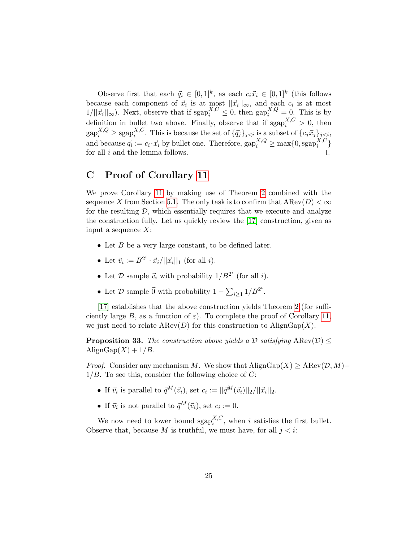Observe first that each  $\vec{q}_i \in [0,1]^k$ , as each  $c_i \vec{x}_i \in [0,1]^k$  (this follows because each component of  $\vec{x}_i$  is at most  $||\vec{x}_i||_{\infty}$ , and each  $c_i$  is at most  $1/||\vec{x}_i||_{\infty}$ ). Next, observe that if  $\text{sgap}_i^{X,C} \leq 0$ , then  $\text{gap}_i^{X,Q} = 0$ . This is by definition in bullet two above. Finally, observe that if  $\text{sgap}_{i}^{X,C} > 0$ , then  $\mathrm{gap}_{i}^{X,Q} \geq \mathrm{sgap}_{i}^{X,C}$ <sup>A,C</sup>. This is because the set of  $\{\vec{q}_j\}_{j\leq i}$  is a subset of  $\{c_j\vec{x}_j\}_{j\leq i}$ , and because  $\vec{q}_i := c_i \cdot \vec{x}_i$  by bullet one. Therefore,  $\text{gap}_i^{X,Q} \ge \max\{0, \text{sgap}_i^{X,C}\}$  $_i^{A,C}$ } for all  $i$  and the lemma follows. П

## <span id="page-24-0"></span>C Proof of Corollary [11](#page-6-1)

We prove Corollary [11](#page-6-1) by making use of Theorem [2](#page-3-1) combined with the sequence X from Section [5.1.](#page-11-1) The only task is to confirm that  $A\text{Rev}(D) < \infty$ for the resulting  $\mathcal{D}$ , which essentially requires that we execute and analyze the construction fully. Let us quickly review the [\[17\]](#page-21-0) construction, given as input a sequence  $X$ :

- Let  $B$  be a very large constant, to be defined later.
- Let  $\vec{v}_i := B^{2^i} \cdot \vec{x}_i / ||\vec{x}_i||_1$  (for all *i*).
- Let  $\mathcal D$  sample  $\vec{v}_i$  with probability  $1/B^{2^i}$  (for all *i*).
- Let  $\mathcal D$  sample  $\vec{0}$  with probability  $1 \sum_{i \geq 1} 1/B^{2^i}$ .

[\[17\]](#page-21-0) establishes that the above construction yields Theorem [2](#page-3-1) (for sufficiently large B, as a function of  $\varepsilon$ ). To complete the proof of Corollary [11,](#page-6-1) we just need to relate  $A\text{Rev}(D)$  for this construction to  $A\text{lignGap}(X)$ .

**Proposition 33.** The construction above yields a D satisfying  $\text{AREv}(\mathcal{D}) \leq$ AlignGap $(X) + 1/B$ .

*Proof.* Consider any mechanism M. We show that  $\text{AlignGap}(X) \geq \text{ARev}(\mathcal{D}, M)$ - $1/B$ . To see this, consider the following choice of C:

- If  $\vec{v}_i$  is parallel to  $\vec{q}^M(\vec{v}_i)$ , set  $c_i := ||\vec{q}^M(\vec{v}_i)||_2/||\vec{x}_i||_2$ .
- If  $\vec{v}_i$  is not parallel to  $\vec{q}^M(\vec{v}_i)$ , set  $c_i := 0$ .

We now need to lower bound  $\text{sgap}_{i}^{X,C}$ , when i satisfies the first bullet. Observe that, because  $M$  is truthful, we must have, for all  $j < i$ :